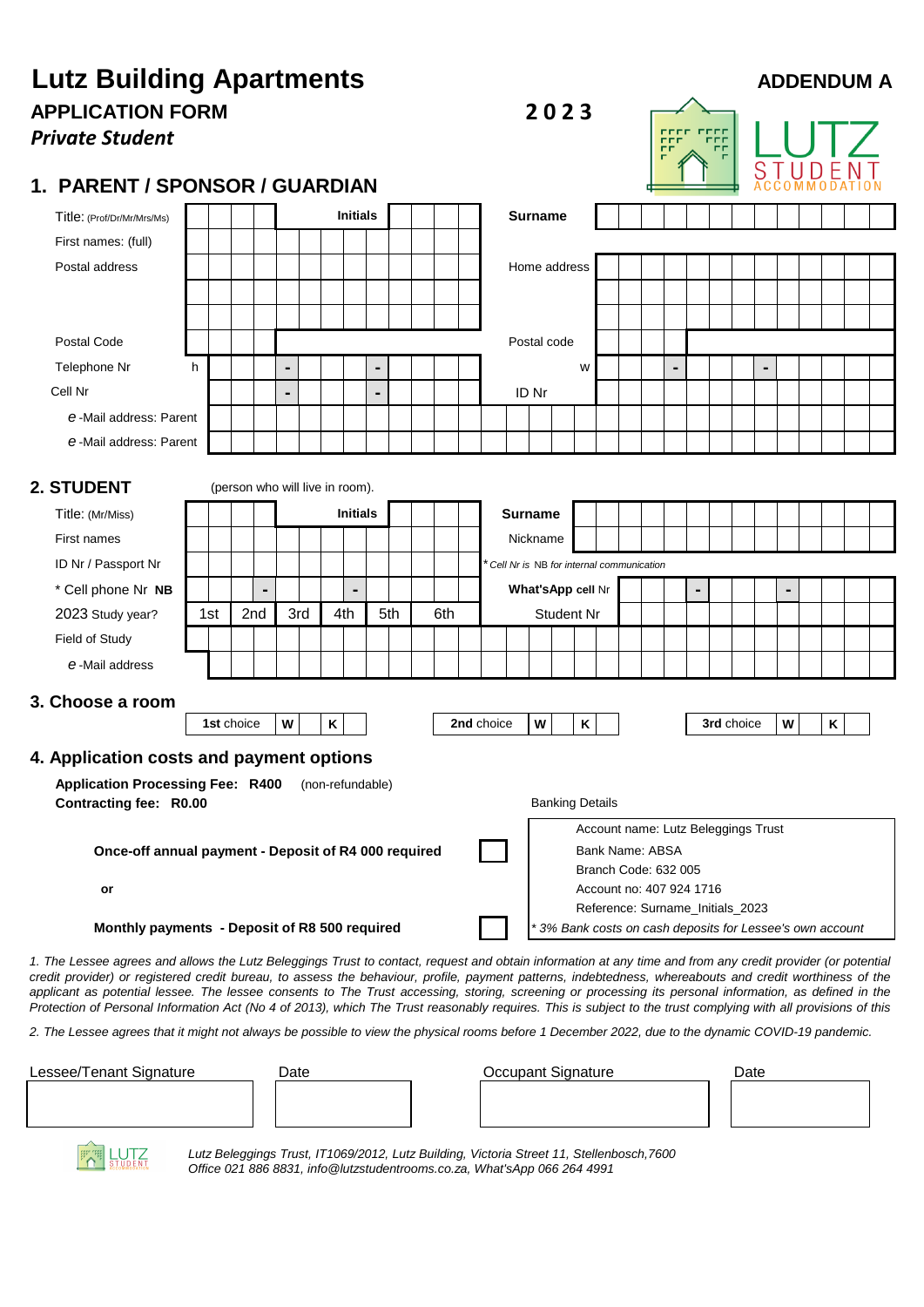| <b>Lutz Building Apartments</b>                                                                                                                                                                                                                                                                                         |     |            |     |                |                                 |                                                              |                      |     |            |                                            |                        | <b>ADDENDUM A</b> |                                     |  |                |  |            |  |   |   |   |  |  |
|-------------------------------------------------------------------------------------------------------------------------------------------------------------------------------------------------------------------------------------------------------------------------------------------------------------------------|-----|------------|-----|----------------|---------------------------------|--------------------------------------------------------------|----------------------|-----|------------|--------------------------------------------|------------------------|-------------------|-------------------------------------|--|----------------|--|------------|--|---|---|---|--|--|
| <b>APPLICATION FORM</b><br><b>Private Student</b>                                                                                                                                                                                                                                                                       |     |            |     |                |                                 |                                                              |                      |     |            |                                            | 2023                   |                   |                                     |  | r F I          |  |            |  |   |   |   |  |  |
| <b>PARENT / SPONSOR / GUARDIAN</b><br>1.                                                                                                                                                                                                                                                                                |     |            |     |                |                                 |                                                              |                      |     |            |                                            |                        |                   |                                     |  |                |  |            |  |   |   |   |  |  |
| Title: (Prof/Dr/Mr/Mrs/Ms)                                                                                                                                                                                                                                                                                              |     |            |     |                | <b>Initials</b>                 |                                                              |                      |     |            |                                            | <b>Surname</b>         |                   |                                     |  |                |  |            |  |   |   |   |  |  |
| First names: (full)                                                                                                                                                                                                                                                                                                     |     |            |     |                |                                 |                                                              |                      |     |            |                                            |                        |                   |                                     |  |                |  |            |  |   |   |   |  |  |
| Postal address                                                                                                                                                                                                                                                                                                          |     |            |     |                |                                 |                                                              |                      |     |            |                                            | Home address           |                   |                                     |  |                |  |            |  |   |   |   |  |  |
|                                                                                                                                                                                                                                                                                                                         |     |            |     |                |                                 |                                                              |                      |     |            |                                            |                        |                   |                                     |  |                |  |            |  |   |   |   |  |  |
| Postal Code                                                                                                                                                                                                                                                                                                             |     |            |     |                |                                 |                                                              |                      |     |            |                                            | Postal code            |                   |                                     |  |                |  |            |  |   |   |   |  |  |
| Telephone Nr                                                                                                                                                                                                                                                                                                            | h   |            |     | $\blacksquare$ |                                 | ж                                                            |                      |     |            |                                            |                        | W                 |                                     |  | ×              |  |            |  | ж |   |   |  |  |
| Cell Nr                                                                                                                                                                                                                                                                                                                 |     |            |     |                |                                 | ÷                                                            |                      |     |            | ID Nr                                      |                        |                   |                                     |  |                |  |            |  |   |   |   |  |  |
| e-Mail address: Parent                                                                                                                                                                                                                                                                                                  |     |            |     |                |                                 |                                                              |                      |     |            |                                            |                        |                   |                                     |  |                |  |            |  |   |   |   |  |  |
| e-Mail address: Parent                                                                                                                                                                                                                                                                                                  |     |            |     |                |                                 |                                                              |                      |     |            |                                            |                        |                   |                                     |  |                |  |            |  |   |   |   |  |  |
| 2. STUDENT                                                                                                                                                                                                                                                                                                              |     |            |     |                | (person who will live in room). |                                                              |                      |     |            |                                            |                        |                   |                                     |  |                |  |            |  |   |   |   |  |  |
|                                                                                                                                                                                                                                                                                                                         |     |            |     |                |                                 |                                                              |                      |     |            | <b>Surname</b>                             |                        |                   |                                     |  |                |  |            |  |   |   |   |  |  |
| Title: (Mr/Miss)                                                                                                                                                                                                                                                                                                        |     |            |     |                | <b>Initials</b>                 |                                                              |                      |     |            |                                            |                        |                   |                                     |  |                |  |            |  |   |   |   |  |  |
| First names                                                                                                                                                                                                                                                                                                             |     |            |     |                |                                 |                                                              |                      |     |            |                                            | Nickname               |                   |                                     |  |                |  |            |  |   |   |   |  |  |
| ID Nr / Passport Nr                                                                                                                                                                                                                                                                                                     |     |            |     |                |                                 |                                                              |                      |     |            | * Cell Nr is NB for internal communication |                        |                   |                                     |  |                |  |            |  |   |   |   |  |  |
| * Cell phone Nr NB                                                                                                                                                                                                                                                                                                      |     |            |     |                | ۳                               |                                                              |                      | 6th |            | What's App cell Nr<br><b>Student Nr</b>    |                        |                   |                                     |  | $\blacksquare$ |  |            |  |   |   |   |  |  |
| 2023 Study year?<br>Field of Study                                                                                                                                                                                                                                                                                      | 1st |            | 2nd | 3rd            | 4th                             |                                                              | 5th                  |     |            |                                            |                        |                   |                                     |  |                |  |            |  |   |   |   |  |  |
| e-Mail address                                                                                                                                                                                                                                                                                                          |     |            |     |                |                                 |                                                              |                      |     |            |                                            |                        |                   |                                     |  |                |  |            |  |   |   |   |  |  |
| 3. Choose a room                                                                                                                                                                                                                                                                                                        |     |            |     |                |                                 |                                                              |                      |     |            |                                            |                        |                   |                                     |  |                |  |            |  |   |   |   |  |  |
|                                                                                                                                                                                                                                                                                                                         |     | 1st choice |     | W              | Κ                               |                                                              |                      |     | 2nd choice |                                            | W                      | Κ                 |                                     |  |                |  | 3rd choice |  |   | W | Κ |  |  |
| 4. Application costs and payment options                                                                                                                                                                                                                                                                                |     |            |     |                |                                 |                                                              |                      |     |            |                                            |                        |                   |                                     |  |                |  |            |  |   |   |   |  |  |
| <b>Application Processing Fee: R400</b><br>Contracting fee: R0.00                                                                                                                                                                                                                                                       |     |            |     |                | (non-refundable)                |                                                              |                      |     |            |                                            | <b>Banking Details</b> |                   |                                     |  |                |  |            |  |   |   |   |  |  |
|                                                                                                                                                                                                                                                                                                                         |     |            |     |                |                                 |                                                              |                      |     |            |                                            |                        |                   | Account name: Lutz Beleggings Trust |  |                |  |            |  |   |   |   |  |  |
| Once-off annual payment - Deposit of R4 000 required                                                                                                                                                                                                                                                                    |     |            |     |                |                                 |                                                              | Bank Name: ABSA      |     |            |                                            |                        |                   |                                     |  |                |  |            |  |   |   |   |  |  |
|                                                                                                                                                                                                                                                                                                                         |     |            |     |                |                                 |                                                              | Branch Code: 632 005 |     |            |                                            |                        |                   |                                     |  |                |  |            |  |   |   |   |  |  |
| or                                                                                                                                                                                                                                                                                                                      |     |            |     |                |                                 | Account no: 407 924 1716<br>Reference: Surname_Initials_2023 |                      |     |            |                                            |                        |                   |                                     |  |                |  |            |  |   |   |   |  |  |
| Monthly payments - Deposit of R8 500 required                                                                                                                                                                                                                                                                           |     |            |     |                |                                 | *3% Bank costs on cash deposits for Lessee's own account     |                      |     |            |                                            |                        |                   |                                     |  |                |  |            |  |   |   |   |  |  |
| 1. The Lessee agrees and allows the Lutz Beleggings Trust to contact, request and obtain information at any time and from any credit provider (or potential<br>aradit provider) ar registered eredit bureau, to essesse the behaviour prefile, poument patterne, indebtednesse whereaboute and eredit worthinese of the |     |            |     |                |                                 |                                                              |                      |     |            |                                            |                        |                   |                                     |  |                |  |            |  |   |   |   |  |  |

credit provider) or registered credit bureau, to assess the behaviour, profile, payment patterns, indebtedness, whereabouts and credit worthiness of the applicant as potential lessee. The lessee consents to The Trust accessing, storing, screening or processing its personal information, as defined in the Protection of Personal Information Act (No 4 of 2013), which The Trust reasonably requires. This is subject to the trust complying with all provisions of this

*Act. 2. The Lessee agrees that it might not always be possible to view the physical rooms before 1 December 2022, due to the dynamic COVID-19 pandemic.* 

| Lessee/Tenant Signature | Date | Occupant Signature                                                                                                                                                   | Date |
|-------------------------|------|----------------------------------------------------------------------------------------------------------------------------------------------------------------------|------|
|                         |      |                                                                                                                                                                      |      |
| <b>FAT LUTZ</b>         |      | Lutz Beleggings Trust, IT1069/2012, Lutz Building, Victoria Street 11, Stellenbosch, 7600<br>Office 021 886 8821 info@lutzetudentrooms co.zo What's App 066 264 4001 |      |

*Lutz Beleggings Trust, IT1069/2012, Lutz Building, Victoria Street 11, Stellenbosch,7600 Office 021 886 8831, info@lutzstudentrooms.co.za, What'sApp 066 264 4991*